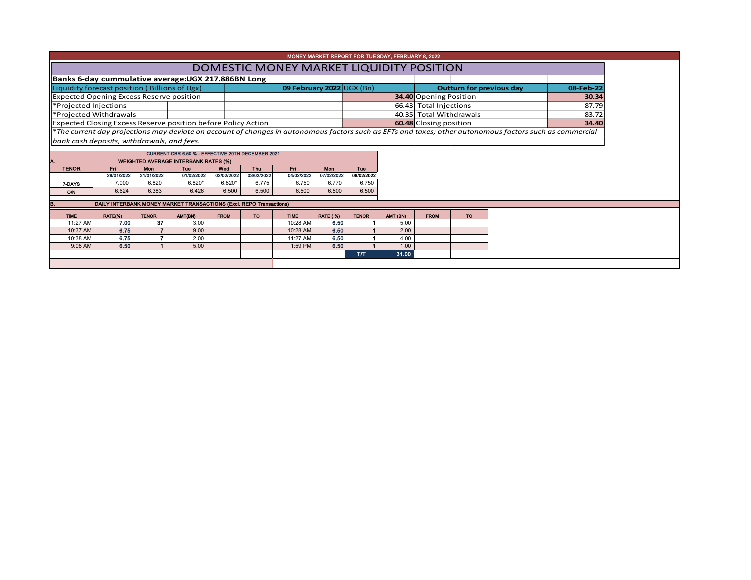| MONEY MARKET REPORT FOR TUESDAY, FEBRUARY 8, 2022 |                 |                    |                                                                     |             |            |                         |                         |                             |                  |                                 |           |                                                                                                                                                          |       |  |
|---------------------------------------------------|-----------------|--------------------|---------------------------------------------------------------------|-------------|------------|-------------------------|-------------------------|-----------------------------|------------------|---------------------------------|-----------|----------------------------------------------------------------------------------------------------------------------------------------------------------|-------|--|
| DOMESTIC MONEY MARKET LIQUIDITY POSITION          |                 |                    |                                                                     |             |            |                         |                         |                             |                  |                                 |           |                                                                                                                                                          |       |  |
|                                                   |                 |                    | Banks 6-day cummulative average: UGX 217.886BN Long                 |             |            |                         |                         |                             |                  |                                 |           |                                                                                                                                                          |       |  |
| Liquidity forecast position (Billions of Ugx)     |                 |                    |                                                                     |             |            |                         |                         | 09 February 2022 $UGX (Bn)$ |                  | <b>Outturn for previous day</b> | 08-Feb-22 |                                                                                                                                                          |       |  |
| <b>Expected Opening Excess Reserve position</b>   |                 |                    |                                                                     |             |            |                         |                         |                             |                  | <b>34.40</b> Opening Position   | 30.34     |                                                                                                                                                          |       |  |
| *Projected Injections                             |                 |                    |                                                                     |             |            |                         |                         |                             |                  | 66.43 Total Injections          |           | 87.79                                                                                                                                                    |       |  |
| *Projected Withdrawals                            |                 |                    |                                                                     |             |            |                         |                         |                             |                  | -40.35 Total Withdrawals        | $-83.72$  |                                                                                                                                                          |       |  |
|                                                   |                 |                    | Expected Closing Excess Reserve position before Policy Action       |             |            |                         |                         |                             |                  | 60.48 Closing position          |           |                                                                                                                                                          | 34.40 |  |
|                                                   |                 |                    |                                                                     |             |            |                         |                         |                             |                  |                                 |           | *The current day projections may deviate on account of changes in autonomous factors such as EFTs and taxes; other autonomous factors such as commercial |       |  |
| bank cash deposits, withdrawals, and fees.        |                 |                    |                                                                     |             |            |                         |                         |                             |                  |                                 |           |                                                                                                                                                          |       |  |
|                                                   |                 |                    | CURRENT CBR 6.50 % - EFFECTIVE 20TH DECEMBER 2021                   |             |            |                         |                         |                             |                  |                                 |           |                                                                                                                                                          |       |  |
|                                                   |                 |                    | <b>WEIGHTED AVERAGE INTERBANK RATES (%)</b>                         |             |            |                         |                         |                             |                  |                                 |           |                                                                                                                                                          |       |  |
| <b>TENOR</b>                                      | Fri             | <b>Mon</b>         | Tue                                                                 | Wed         | <b>Thu</b> | Fri                     | Mon                     | <b>Tue</b>                  |                  |                                 |           |                                                                                                                                                          |       |  |
|                                                   | 28/01/2022      | 31/01/2022         | 01/02/2022                                                          | 02/02/2022  | 03/02/2022 | 04/02/2022              | 07/02/2022              | 08/02/2022                  |                  |                                 |           |                                                                                                                                                          |       |  |
| 7-DAYS                                            | 7.000           | 6.820              | $6.820*$                                                            | $6.820*$    | 6.775      |                         |                         |                             |                  |                                 |           |                                                                                                                                                          |       |  |
|                                                   |                 |                    |                                                                     |             |            | 6.750                   | 6.770                   | 6.750                       |                  |                                 |           |                                                                                                                                                          |       |  |
| O/N                                               | 6.624           | 6.383              | 6.426                                                               | 6.500       | 6.500      | 6.500                   | 6.500                   | 6.500                       |                  |                                 |           |                                                                                                                                                          |       |  |
|                                                   |                 |                    | DAILY INTERBANK MONEY MARKET TRANSACTIONS (Excl. REPO Transactions) |             |            |                         |                         |                             |                  |                                 |           |                                                                                                                                                          |       |  |
|                                                   |                 |                    |                                                                     | <b>FROM</b> | TO.        |                         |                         |                             |                  |                                 |           |                                                                                                                                                          |       |  |
| <b>TIME</b><br>11:27 AM                           | RATE(%)<br>7.00 | <b>TENOR</b><br>37 | AMT(BN)<br>3.00                                                     |             |            | <b>TIME</b><br>10:28 AM | <b>RATE (%)</b><br>6.50 | <b>TENOR</b>                | AMT (BN)<br>5.00 | <b>FROM</b>                     | <b>TO</b> |                                                                                                                                                          |       |  |
| 10:37 AM                                          | 6.75            |                    | 9.00                                                                |             |            | 10:28 AM                | 6.50                    |                             | 2.00             |                                 |           |                                                                                                                                                          |       |  |
| 10:38 AM                                          | 6.75            |                    | 2.00                                                                |             |            | 11:27 AM                | 6.50                    |                             | 4.00             |                                 |           |                                                                                                                                                          |       |  |
| 9:08 AM                                           | 6.50            |                    | 5.00                                                                |             |            | 1:59 PM                 | 6.50                    |                             | 1.00             |                                 |           |                                                                                                                                                          |       |  |
|                                                   |                 |                    |                                                                     |             |            |                         |                         | T/T                         | 31.00            |                                 |           |                                                                                                                                                          |       |  |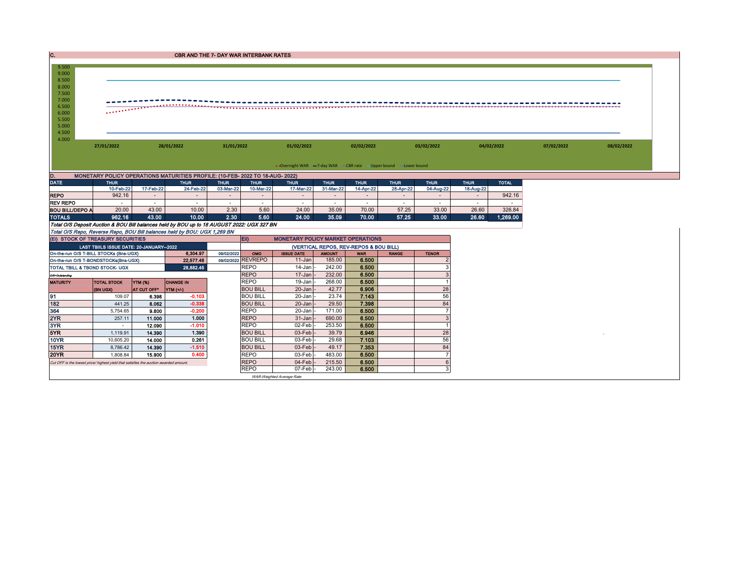| C.                                                                                              | CBR AND THE 7- DAY WAR INTERBANK RATES                          |                          |                                                                                            |                          |                          |                                          |                          |                                        |                          |                          |                          |              |            |  |  |
|-------------------------------------------------------------------------------------------------|-----------------------------------------------------------------|--------------------------|--------------------------------------------------------------------------------------------|--------------------------|--------------------------|------------------------------------------|--------------------------|----------------------------------------|--------------------------|--------------------------|--------------------------|--------------|------------|--|--|
| 9.500<br>9.000<br>8.500<br>8.000<br>7.500<br>7.000<br>6.500<br>6.000<br>5.500<br>5.000<br>4.500 |                                                                 |                          |                                                                                            |                          |                          |                                          |                          |                                        |                          |                          |                          |              |            |  |  |
| 4.000                                                                                           | 27/01/2022<br>28/01/2022                                        |                          | 31/01/2022                                                                                 |                          | 01/02/2022               |                                          |                          |                                        | 03/02/2022               | 04/02/2022               |                          | 07/02/2022   | 08/02/2022 |  |  |
|                                                                                                 | • Overnight WAR -7-day WAR - CBR rate -Upper bound -Lower bound |                          |                                                                                            |                          |                          |                                          |                          |                                        |                          |                          |                          |              |            |  |  |
| D.                                                                                              |                                                                 |                          | MONETARY POLICY OPERATIONS MATURITIES PROFILE: (10-FEB- 2022 TO 18-AUG- 2022)              |                          |                          |                                          |                          |                                        |                          |                          |                          |              |            |  |  |
| <b>DATE</b>                                                                                     | <b>THUR</b><br>10-Feb-22                                        | 17-Feb-22                | <b>THUR</b><br>24-Feb-22                                                                   | <b>THUR</b><br>03-Mar-22 | <b>THUR</b><br>10-Mar-22 | <b>THUR</b><br>17-Mar-22                 | <b>THUR</b><br>31-Mar-22 | <b>THUR</b><br>14-Apr-22               | <b>THUR</b><br>28-Apr-22 | <b>THUR</b><br>04-Aug-22 | <b>THUR</b><br>18-Aug-22 | <b>TOTAL</b> |            |  |  |
| <b>REPO</b>                                                                                     | 942.16                                                          | $\sim$                   | $\sim$                                                                                     | $\sim$                   | $\sim$                   | $\sim$                                   | $\sim$                   |                                        | $\sim$                   |                          |                          | 942.16       |            |  |  |
| <b>REV REPO</b>                                                                                 |                                                                 | $\overline{\phantom{a}}$ |                                                                                            |                          |                          | $\sim$                                   | $\sim$                   | $\sim$                                 | $\sim$                   |                          |                          |              |            |  |  |
| <b>BOU BILL/DEPO A</b>                                                                          | 20.00                                                           | 43.00                    | 10.00                                                                                      | 2.30                     | 5.60                     | 24.00                                    | 35.09                    | 70.00                                  | 57.25                    | 33.00                    | 26.60                    | 326.84       |            |  |  |
| <b>TOTALS</b>                                                                                   | 962.16                                                          | 43.00                    | 10.00                                                                                      | 2.30                     | 5.60                     | 24.00                                    | 35.09                    | 70.00                                  | 57.25                    | 33.00                    | 26.60                    | 1,269.00     |            |  |  |
|                                                                                                 |                                                                 |                          | Total O/S Deposit Auction & BOU Bill balances held by BOU up to 18 AUGUST 2022: UGX 327 BN |                          |                          |                                          |                          |                                        |                          |                          |                          |              |            |  |  |
|                                                                                                 |                                                                 |                          | Total O/S Repo, Reverse Repo, BOU Bill balances held by BOU: UGX 1,269 BN                  |                          |                          |                                          |                          |                                        |                          |                          |                          |              |            |  |  |
| (EI) STOCK OF TREASURY SECURITIES                                                               |                                                                 |                          |                                                                                            |                          | Eii)                     | <b>MONETARY POLICY MARKET OPERATIONS</b> |                          |                                        |                          |                          |                          |              |            |  |  |
|                                                                                                 | LAST TBIILS ISSUE DATE: 20-JANUARY-2022                         |                          |                                                                                            |                          |                          |                                          |                          | (VERTICAL REPOS, REV-REPOS & BOU BILL) |                          |                          |                          |              |            |  |  |
| On-the-run O/S T-BILL STOCKs (Bns-UGX)                                                          |                                                                 |                          | 6.304.97                                                                                   | 09/02/2022               | OMO                      | <b>ISSUE DATE</b>                        | <b>AMOUNT</b>            | <b>WAR</b>                             | <b>RANGE</b>             | <b>TENOR</b>             |                          |              |            |  |  |
| On-the-run O/S T-BONDSTOCKs(Bns-UGX)                                                            |                                                                 |                          | 22,577.48                                                                                  |                          | 09/02/2022 REVREPO       | 11-Jan                                   | 185.00                   | 6.500                                  |                          |                          |                          |              |            |  |  |
| TOTAL TBILL & TBOND STOCK- UGX                                                                  |                                                                 |                          | 28,882.45                                                                                  |                          | <b>REPO</b>              | 14-Jan                                   | 242.00                   | 6.500                                  |                          |                          |                          |              |            |  |  |
| O/S=Outstanding                                                                                 |                                                                 |                          |                                                                                            |                          | <b>REPO</b>              | 17-Jan                                   | 232.00                   | 6.500                                  |                          |                          |                          |              |            |  |  |
| <b>MATURITY</b>                                                                                 | <b>TOTAL STOCK</b>                                              | <b>YTM (%)</b>           | <b>CHANGE IN</b>                                                                           |                          | <b>REPO</b>              | $19$ -Jan                                | 268.00                   | 6.500                                  |                          |                          |                          |              |            |  |  |

(BN UGX) AT CUT OFF\* YTM (+/-)<br>
(BN UGX) AT CUT OFF\* YTM (+/-)<br>
109.07 6.398 -0.103 BOU BILL 20-Jan - 23.74 7.143 56 91 109.07 6.398 -0.103 BOU BILL 20-Jan - 23.74 7.143 56 182 441.25 8.062 -0.338 BOU BILL 20-Jan - 29.50 7.398 84 364 5,754.65 9.800 -0.200 REPO 20-Jan - 171.00 6.500 7 2YR 257.11 11.000 1.000 REPO 31-Jan - 690.00 6.500 3 3YR - 12.090 -1.010 REPO 02-Feb - 253.50 6.500 1 5YR 1,119.91 14.390 1.390 BOU BILL 03-Feb - 39.79 6.946 28 <sup>0</sup> 10YR | 10,605.20 | **14.000 | 0.261 | |**BOU BILL | 03-Feb |- 29.68 | **7.103 |** 56 15YR | 8,786.42 | 14.**390 | -1.510 | |**BOU BILL | 03-Feb <sup>|</sup>- 49.17 | **7.353 |** | 84 20YR | 1,808.84 | **15.900 | 0.400 |** |REPO | 03-Feb|- 483.00 | **6.500 |** 7 Cut OFF is the lowest price/ highest yield that satisfies the auction awarded amount.<br>
REPO 07-Feb - 243.00 6.500 6.500 7 07-Feb - 243.00 6.500 3 WAR-Weighted Average Rate